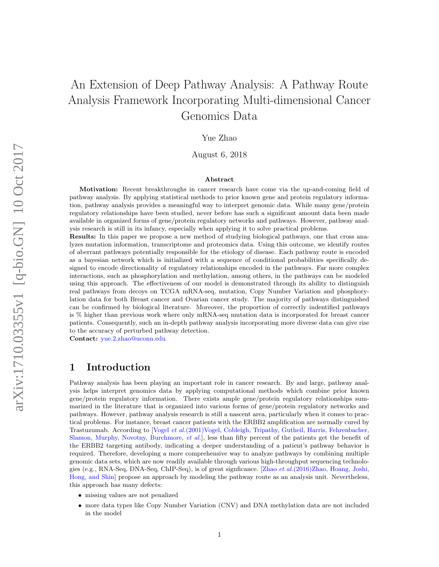# An Extension of Deep Pathway Analysis: A Pathway Route Analysis Framework Incorporating Multi-dimensional Cancer Genomics Data

Yue Zhao

August 6, 2018

#### Abstract

Motivation: Recent breakthroughs in cancer research have come via the up-and-coming field of pathway analysis. By applying statistical methods to prior known gene and protein regulatory information, pathway analysis provides a meaningful way to interpret genomic data. While many gene/protein regulatory relationships have been studied, never before has such a significant amount data been made available in organized forms of gene/protein regulatory networks and pathways. However, pathway analysis research is still in its infancy, especially when applying it to solve practical problems.

Results: In this paper we propose a new method of studying biological pathways, one that cross analyzes mutation information, transcriptome and proteomics data. Using this outcome, we identify routes of aberrant pathways potentially responsible for the etiology of disease. Each pathway route is encoded as a bayesian network which is initialized with a sequence of conditional probabilities specifically designed to encode directionality of regulatory relationships encoded in the pathways. Far more complex interactions, such as phosphorylation and methylation, among others, in the pathways can be modeled using this approach. The effectiveness of our model is demonstrated through its ability to distinguish real pathways from decoys on TCGA mRNA-seq, mutation, Copy Number Variation and phosphorylation data for both Breast cancer and Ovarian cancer study. The majority of pathways distinguished can be confirmed by biological literature. Moreover, the proportion of correctly indentified pathways is % higher than previous work where only mRNA-seq mutation data is incorporated for breast cancer patients. Consequently, such an in-depth pathway analysis incorporating more diverse data can give rise to the accuracy of perturbed pathway detection.

Contact: <yue.2.zhao@uconn.edu>

# 1 Introduction

Pathway analysis has been playing an important role in cancer research. By and large, pathway analysis helps interpret genomics data by applying computational methods which combine prior known gene/protein regulatory information. There exists ample gene/protein regulatory relationships summarized in the literature that is organized into various forms of gene/protein regulatory networks and pathways. However, pathway analysis research is still a nascent area, particularly when it comes to practical problems. For instance, breast cancer patients with the ERBB2 amplification are normally cured by Trastuzumab. According to [Vogel et al.[\(2001\)Vogel, Cobleigh, Tripathy, Gutheil, Harris, Fehrenbacher,](#page-14-0) [Slamon, Murphy, Novotny, Burchmore,](#page-14-0) et al.], less than fifty percent of the patients get the benefit of the ERBB2 targeting antibody, indicating a deeper understanding of a patient's pathway behavior is required. Therefore, developing a more comprehensive way to analyze pathways by combining multiple genomic data sets, which are now readily available through various high-throughput sequencing technologies (e.g., RNA-Seq, DNA-Seq, ChIP-Seq), is of great signficance. [Zhao et al.[\(2016\)Zhao, Hoang, Joshi,](#page-15-0) [Hong, and Shin\]](#page-15-0) propose an approach by modeling the pathway route as an analysis unit. Nevertheless, this approach has many defects:

- missing values are not penalized
- more data types like Copy Number Variation (CNV) and DNA methylation data are not included in the model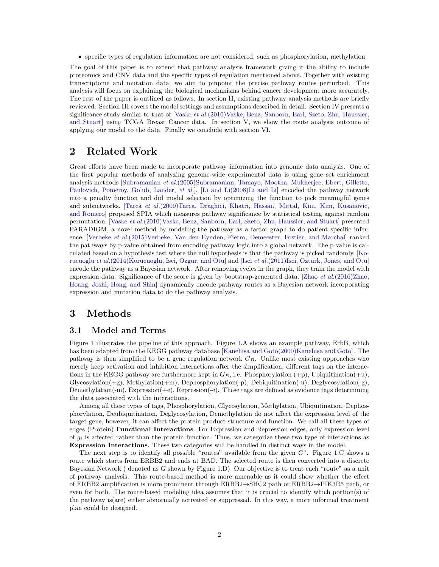• specific types of regulation information are not considered, such as phosphorylation, methylation

The goal of this paper is to extend that pathway analysis framework giving it the ability to include proteomics and CNV data and the specific types of regulation mentioned above. Together with existing transcriptome and mutation data, we aim to pinpoint the precise pathway routes perturbed. This analysis will focus on explaining the biological mechanisms behind cancer development more accurately. The rest of the paper is outlined as follows. In section II, existing pathway analysis methods are briefly reviewed. Section III covers the model settings and assumptions described in detail. Section IV presents a significance study similar to that of [Vaske et al.[\(2010\)Vaske, Benz, Sanborn, Earl, Szeto, Zhu, Haussler,](#page-14-1) and Stuart using TCGA Breast Cancer data. In section V, we show the route analysis outcome of applying our model to the data. Finally we conclude with section VI.

# 2 Related Work

Great efforts have been made to incorporate pathway information into genomic data analysis. One of the first popular methods of analyzing genome-wide experimental data is using gene set enrichment analysis methods [Subramanian et al.[\(2005\)Subramanian, Tamayo, Mootha, Mukherjee, Ebert, Gillette,](#page-14-2) [Paulovich, Pomeroy, Golub, Lander,](#page-14-2) et al.]. [\[Li and Li\(2008\)Li and Li\]](#page-13-0) encoded the pathway network into a penalty function and did model selection by optimizing the function to pick meaningful genes and subnetworks. [Tarca et al.[\(2009\)Tarca, Draghici, Khatri, Hassan, Mittal, Kim, Kim, Kusanovic,](#page-14-3) [and Romero\]](#page-14-3) proposed SPIA which measures pathway significance by statistical testing against random permutation. [Vaske et al.[\(2010\)Vaske, Benz, Sanborn, Earl, Szeto, Zhu, Haussler, and Stuart\]](#page-14-1) presented PARADIGM, a novel method by modeling the pathway as a factor graph to do patient specific inference. [Verbeke et al.[\(2015\)Verbeke, Van den Eynden, Fierro, Demeester, Fostier, and Marchal\]](#page-14-4) ranked the pathways by p-value obtained from encoding pathway logic into a global network. The p-value is calculated based on a hypothesis test where the null hypothesis is that the pathway is picked randomly. [\[Ko](#page-13-1)rucuoglu et al.[\(2014\)Korucuoglu, Isci, Ozgur, and Otu\]](#page-13-1) and [Isci et al.[\(2011\)Isci, Ozturk, Jones, and Otu\]](#page-13-2) encode the pathway as a Bayesian network. After removing cycles in the graph, they train the model with expression data. Significance of the score is given by bootstrap-generated data. [Zhao et al.[\(2016\)Zhao,](#page-15-0) [Hoang, Joshi, Hong, and Shin\]](#page-15-0) dynamically encode pathway routes as a Bayesian network incorporating expression and mutation data to do the pathway analysis.

## 3 Methods

### 3.1 Model and Terms

Figure [1](#page-2-0) illustrates the pipeline of this approach. Figure [1.](#page-2-0)A shows an example pathway, ErbB, which has been adapted from the KEGG pathway database [\[Kanehisa and Goto\(2000\)Kanehisa and Goto\]](#page-13-3). The pathway is then simplified to be a gene regulation network  $G_B$ . Unlike most existing approaches who merely keep activation and inhibition interactions after the simplification, different tags on the interactions in the KEGG pathway are furthermore kept in  $G_B$ , i.e. Phosphorylation (+p), Ubiquitination(+u), Glycosylation(+g), Methylation(+m), Dephosphorylation(-p), Debiquitination(-u), Deglycosylation(-g), Demethylation(-m), Expression(+e), Repression(-e). These tags are defined as evidence tags determining the data associated with the interactions.

Among all these types of tags, Phosphorylation, Glycosylation, Methylation, Ubiquitination, Dephosphorylation, Deubiquitination, Deglycosylation, Demethylation do not affect the expression level of the target gene, however, it can affect the protein product structure and function. We call all these types of edges (Protein) Functional Interactions. For Expression and Repression edges, only expression level of  $g_i$  is affected rather than the protein function. Thus, we categorize these two type of interactions as Expression Interactions. These two categories will be handled in distinct ways in the model.

The next step is to identify all possible "routes" available from the given  $G^*$ . Figure [1.](#page-2-0)C shows a route which starts from ERBB2 and ends at BAD. The selected route is then converted into a discrete Bayesian Network ( denoted as G shown by Figure [1.](#page-2-0)D). Our objective is to treat each "route" as a unit of pathway analysis. This route-based method is more amenable as it could show whether the effect of ERBB2 amplification is more prominent through ERBB2→SHC2 path or ERBB2→PIK3R5 path, or even for both. The route-based modeling idea assumes that it is crucial to identify which portion(s) of the pathway is(are) either abnormally activated or suppressed. In this way, a more informed treatment plan could be designed.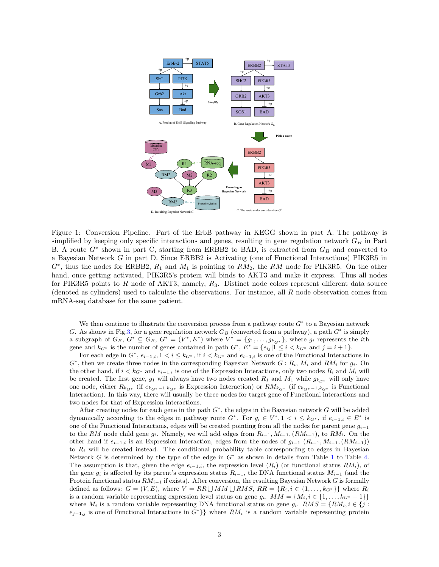

<span id="page-2-0"></span>Figure 1: Conversion Pipeline. Part of the ErbB pathway in KEGG shown in part A. The pathway is simplified by keeping only specific interactions and genes, resulting in gene regulation network  $G_B$  in Part B. A route  $G^*$  shown in part C, starting from ERBB2 to BAD, is extracted from  $G_B$  and converted to a Bayesian Network G in part D. Since ERBB2 is Activating (one of Functional Interactions) PIK3R5 in  $G^*$ , thus the nodes for ERBB2,  $R_1$  and  $M_1$  is pointing to  $RM_2$ , the RM node for PIK3R5. On the other hand, once getting activated, PIK3R5's protein will binds to AKT3 and make it express. Thus all nodes for PIK3R5 points to R node of AKT3, namely,  $R_3$ . Distinct node colors represent different data source (denoted as cylinders) used to calculate the observations. For instance, all R node observation comes from mRNA-seq database for the same patient.

We then continue to illustrate the conversion process from a pathway route  $G^*$  to a Bayesian network G. As shonw in Fig[.3,](#page-4-0) for a gene regulation network  $G_B$  (converted from a pathway), a path  $G^*$  is simply a subgraph of  $G_B, G^* \subseteq G_B, G^* = (V^*, E^*)$  where  $V^* = \{g_1, \ldots, g_{k_{G^*}}\}\$ , where  $g_i$  represents the *i*th gene and  $k_{G^*}$  is the number of genes contained in path  $G^*$ ,  $E^* = \{e_{ij} | 1 \leq i \leq k_{G^*} \text{ and } j = i + 1\}.$ 

For each edge in  $G^*$ ,  $e_{i-1,i}$ ,  $1 < i \leq k_{G^*}$ , if  $i < k_{G^*}$  and  $e_{i-1,i}$  is one of the Functional Interactions in  $G^*$ , then we create three nodes in the corresponding Bayesian Network  $G: R_i$ ,  $M_i$  and  $RM_i$  for  $g_i$ . On the other hand, if  $i < k_{G^*}$  and  $e_{i-1,i}$  is one of the Expression Interactions, only two nodes  $R_i$  and  $M_i$  will be created. The first gene,  $g_1$  will always have two nodes created  $R_1$  and  $M_1$  while  $g_{kG*}$  will only have one node, either  $R_{k_{G^*}}$  (if  $e_{k_{G^*}-1,k_{G^*}}$  is Expression Interaction) or  $RM_{k_{G^*}}$  (if  $e_{k_{G^*}-1,k_{G^*}}$  is Functional Interaction). In this way, there will usually be three nodes for target gene of Functional interactions and two nodes for that of Expression interactions.

After creating nodes for each gene in the path  $G^*$ , the edges in the Bayesian network  $G$  will be added dynamically according to the edges in pathway route  $G^*$ . For  $g_i \in V^*$ ,  $1 < i \leq k_{G^*}$ , if  $e_{i-1,i} \in E^*$  is one of the Functional Interactions, edges will be created pointing from all the nodes for parent gene  $g_{i-1}$ to the RM node child gene  $g_i$ . Namely, we will add edges from  $R_{i-1}$ ,  $M_{i-1}$ ,  $(RM_{i-1})$ , to  $RM_i$ . On the other hand if  $e_{i-1,i}$  is an Expression Interaction, edges from the nodes of  $g_{i-1}$   $(R_{i-1}, M_{i-1}, (RM_{i-1}))$ to  $R_i$  will be created instead. The conditional probability table corresponding to edges in Bayesian Network  $G$  is determined by the type of the edge in  $G^*$  as shown in details from Table [1](#page-5-0) to Table [4.](#page-5-1) The assumption is that, given the edge  $e_{i-1,i}$ , the expression level  $(R_i)$  (or functional status  $RM_i$ ), of the gene  $g_i$  is affected by its parent's expression status  $R_{i-1}$ , the DNA functional status  $M_{i-1}$  (and the Protein functional status  $RM_{i-1}$  if exists). After conversion, the resulting Bayesian Network G is formally defined as follows:  $G = (V, E)$ , where  $V = RR \bigcup MM \bigcup RMS$ ,  $RR = \{R_i, i \in \{1, \ldots, k_{G^*}\}\}\$  where  $R_i$ is a random variable representing expression level status on gene  $g_i$ .  $MM = \{M_i, i \in \{1, ..., k_{G^*} - 1\}\}\$ where  $M_i$  is a random variable representing DNA functional status on gene  $g_i$ .  $RMS = \{RM_i, i \in \{j : \text{if } j \leq j\} \}$  $e_{j-1,j}$  is one of Functional Interactions in  $G^*\}$  where  $RM_i$  is a random variable representing protein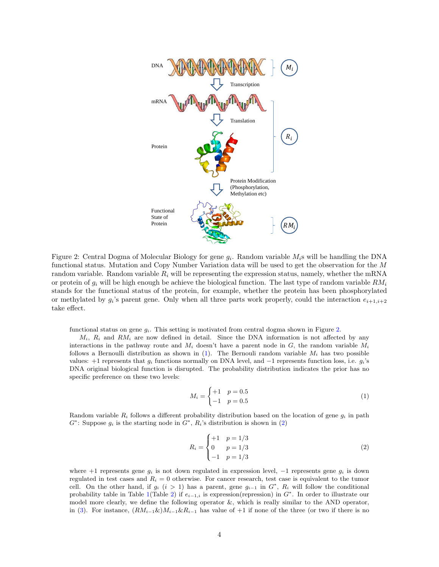

<span id="page-3-0"></span>Figure 2: Central Dogma of Molecular Biology for gene  $g_i$ . Random variable  $M_i$ s will be handling the DNA functional status. Mutation and Copy Number Variation data will be used to get the observation for the M random variable. Random variable  $R_i$  will be representing the expression status, namely, whether the mRNA or protein of  $g_i$  will be high enough be achieve the biological function. The last type of random variable  $RM_i$ stands for the functional status of the protein, for example, whether the protein has been phosphorylated or methylated by  $g_i$ 's parent gene. Only when all three parts work properly, could the interaction  $e_{i+1,i+2}$ take effect.

functional status on gene  $g_i$ . This setting is motivated from central dogma shown in Figure [2.](#page-3-0)

 $M_i$ ,  $R_i$  and  $RM_i$  are now defined in detail. Since the DNA information is not affected by any interactions in the pathway route and  $M_i$  doesn't have a parent node in  $G$ , the random variable  $M_i$ follows a Bernoulli distribution as shown in  $(1)$ . The Bernouli random variable  $M_i$  has two possible values: +1 represents that  $g_i$  functions normally on DNA level, and  $-1$  represents function loss, i.e.  $g_i$ 's DNA original biological function is disrupted. The probability distribution indicates the prior has no specific preference on these two levels:

<span id="page-3-1"></span>
$$
M_i = \begin{cases} +1 & p = 0.5 \\ -1 & p = 0.5 \end{cases}
$$
 (1)

Random variable  $R_i$  follows a different probability distribution based on the location of gene  $g_i$  in path  $G^*$ : Suppose  $g_i$  is the starting node in  $G^*$ ,  $R_i$ 's distribution is shown in [\(2\)](#page-3-2)

<span id="page-3-2"></span>
$$
R_i = \begin{cases} +1 & p = 1/3 \\ 0 & p = 1/3 \\ -1 & p = 1/3 \end{cases}
$$
 (2)

where +1 represents gene  $g_i$  is not down regulated in expression level,  $-1$  represents gene  $g_i$  is down regulated in test cases and  $R_i = 0$  otherwise. For cancer research, test case is equivalent to the tumor cell. On the other hand, if  $g_i$   $(i > 1)$  has a parent, gene  $g_{i-1}$  in  $G^*$ ,  $R_i$  will follow the conditional probability table in Table [1\(](#page-5-0)Table [2\)](#page-5-2) if  $e_{i-1,i}$  is expression(repression) in  $G^*$ . In order to illustrate our model more clearly, we define the following operator &, which is really similar to the AND operator, in [\(3\)](#page-4-1). For instance,  $(RM_{i-1}\&R_{i-1}\&R_{i-1})$  has value of +1 if none of the three (or two if there is no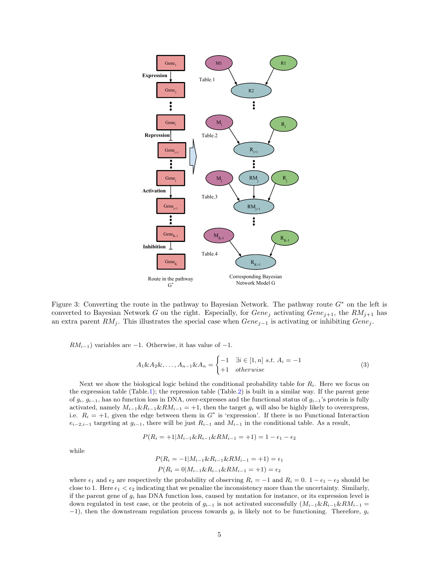

<span id="page-4-0"></span>Figure 3: Converting the route in the pathway to Bayesian Network. The pathway route  $G^*$  on the left is converted to Bayesian Network G on the right. Especially, for  $Gene_j$  activating  $Gene_{j+1}$ , the  $RM_{j+1}$  has an extra parent  $RM_j$ . This illustrates the special case when  $Gene_{j-1}$  is activating or inhibiting  $Gene_j$ .

 $RM_{i-1}$ ) variables are -1. Otherwise, it has value of -1.

<span id="page-4-1"></span>
$$
A_1 \& A_2 \& \dots, A_{n-1} \& A_n = \begin{cases} -1 & \exists i \in [1, n] \ s.t. \ A_i = -1 \\ +1 & \text{otherwise} \end{cases} \tag{3}
$$

Next we show the biological logic behind the conditional probability table for  $R_i$ . Here we focus on the expression table (Table[.1\)](#page-5-0); the repression table (Table[.2\)](#page-5-2) is built in a similar way. If the parent gene of  $g_i$ ,  $g_{i-1}$ , has no function loss in DNA, over-expresses and the functional status of  $g_{i-1}$ 's protein is fully activated, namely  $M_{i-1} \& R_{i-1} \& RM_{i-1} = +1$ , then the target  $g_i$  will also be highly likely to overexpress, i.e.  $R_i = +1$ , given the edge between them in  $G^*$  is 'expression'. If there is no Functional Interaction  $e_{i-2,i-1}$  targeting at  $g_{i-1}$ , there will be just  $R_{i-1}$  and  $M_{i-1}$  in the conditional table. As a result,

$$
P(R_i = +1|M_{i-1} \& R_{i-1} \& RM_{i-1} = +1) = 1 - \epsilon_1 - \epsilon_2
$$

while

$$
P(R_i = -1 | M_{i-1} \& R_{i-1} \& RM_{i-1} = +1) = \epsilon_1
$$
\n
$$
P(R_i = 0 | M_{i-1} \& R_{i-1} \& RM_{i-1} = +1) = \epsilon_2
$$

where  $\epsilon_1$  and  $\epsilon_2$  are respectively the probability of observing  $R_i = -1$  and  $R_i = 0$ .  $1 - \epsilon_1 - \epsilon_2$  should be close to 1. Here  $\epsilon_1 < \epsilon_2$  indicating that we penalize the inconsistency more than the uncertainty. Similarly, if the parent gene of  $g_i$  has DNA function loss, caused by mutation for instance, or its expression level is down regulated in test case, or the protein of  $g_{i-1}$  is not activated successfully  $(M_{i-1}\&R_{i-1}\&R_{i-1} =$  $-1$ ), then the downstream regulation process towards  $g_i$  is likely not to be functioning. Therefore,  $g_i$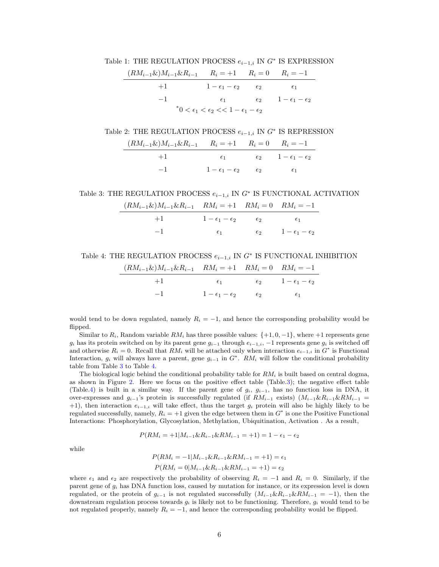Table 1: THE REGULATION PROCESS  $e_{i-1,i}$  IN  $G^*$  IS EXPRESSION

<span id="page-5-0"></span>

| $(RM_{i-1}\&)M_{i-1}\&R_{i-1}$ $R_i = +1$ $R_i = 0$ $R_i = -1$ |                                                                               |  |
|----------------------------------------------------------------|-------------------------------------------------------------------------------|--|
| $+1$                                                           | $1-\epsilon_1-\epsilon_2$ $\epsilon_2$ $\epsilon_1$                           |  |
| $-1$                                                           | $\epsilon_1$ $\epsilon_2$ $1-\epsilon_1-\epsilon_2$                           |  |
|                                                                | $\epsilon_0$ < $\epsilon_1$ < $\epsilon_2$ << 1 - $\epsilon_1$ - $\epsilon_2$ |  |

Table 2: THE REGULATION PROCESS  $e_{i-1,i}$  IN  $G^*$  IS REPRESSION

<span id="page-5-2"></span>

| $(RM_{i-1}\&)M_{i-1}\&R_{i-1}$ $R_i = +1$ $R_i = 0$ $R_i = -1$ |                                                     |                                                     |
|----------------------------------------------------------------|-----------------------------------------------------|-----------------------------------------------------|
| $+1$                                                           |                                                     | $\epsilon_1$ $\epsilon_2$ $1-\epsilon_1-\epsilon_2$ |
| $-1$                                                           | $1-\epsilon_1-\epsilon_2$ $\epsilon_2$ $\epsilon_1$ |                                                     |

Table 3: THE REGULATION PROCESS  $e_{i-1,i}$  IN  $G^*$  IS FUNCTIONAL ACTIVATION

<span id="page-5-3"></span>

| $(RM_{i-1}\&)M_{i-1}\&R_{i-1}$ $RM_i = +1$ $RM_i = 0$ $RM_i = -1$ |                                        |                                        |
|-------------------------------------------------------------------|----------------------------------------|----------------------------------------|
| $+1$                                                              | $1-\epsilon_1-\epsilon_2$ $\epsilon_2$ | $\epsilon_1$                           |
| $-1$                                                              | $\epsilon_1$ and $\epsilon_2$          | $\epsilon_2$ $1-\epsilon_1-\epsilon_2$ |

Table 4: THE REGULATION PROCESS  $e_{i-1,i}$  IN  $G^*$  IS FUNCTIONAL INHIBITION

<span id="page-5-1"></span>

| $(RM_{i-1}\&)M_{i-1}\&R_{i-1}$ $RM_i = +1$ $RM_i = 0$ $RM_i = -1$ |                                            |                                                     |
|-------------------------------------------------------------------|--------------------------------------------|-----------------------------------------------------|
| $+1$                                                              |                                            | $\epsilon_1$ $\epsilon_2$ $1-\epsilon_1-\epsilon_2$ |
| $-1$                                                              | $1 - \epsilon_1 - \epsilon_2$ $\epsilon_2$ | $\epsilon_1$                                        |

would tend to be down regulated, namely  $R_i = -1$ , and hence the corresponding probability would be flipped.

Similar to  $R_i$ , Random variable  $RM_i$  has three possible values:  $\{+1, 0, -1\}$ , where  $+1$  represents gene  $g_i$  has its protein switched on by its parent gene  $g_{i-1}$  through  $e_{i-1,i}$ ,  $-1$  represents gene  $g_i$  is switched off and otherwise  $R_i = 0$ . Recall that  $RM_i$  will be attached only when interaction  $e_{i-1,i}$  in  $G^*$  is Functional Interaction,  $g_i$  will always have a parent, gene  $g_{i-1}$  in  $G^*$ .  $RM_i$  will follow the conditional probability table from Table [3](#page-5-3) to Table [4.](#page-5-1)

The biological logic behind the conditional probability table for  $RM_i$  is built based on central dogma, as shown in Figure [2.](#page-3-0) Here we focus on the positive effect table (Table[.3\)](#page-5-3); the negative effect table (Table[.4\)](#page-5-1) is built in a similar way. If the parent gene of  $g_i$ ,  $g_{i-1}$ , has no function loss in DNA, it over-expresses and  $g_{i-1}$ 's protein is successfully regulated (if  $RM_{i-1}$  exists)  $(M_{i-1} \& R_{i-1} \& R_{i-1} =$ +1), then interaction  $e_{i-1,i}$  will take effect, thus the target  $g_i$  protein will also be highly likely to be regulated successfully, namely,  $R_i = +1$  given the edge between them in  $G^*$  is one the Positive Functional Interactions: Phosphorylation, Glycosylation, Methylation, Ubiquitination, Activation . As a result,

$$
P(RM_i = +1|M_{i-1} \& R_{i-1} \& RM_{i-1} = +1) = 1 - \epsilon_1 - \epsilon_2
$$

while

$$
P(RM_i = -1|M_{i-1} \& R_{i-1} \& RM_{i-1} = +1) = \epsilon_1
$$
  

$$
P(RM_i = 0|M_{i-1} \& R_{i-1} \& RM_{i-1} = +1) = \epsilon_2
$$

where  $\epsilon_1$  and  $\epsilon_2$  are respectively the probability of observing  $R_i = -1$  and  $R_i = 0$ . Similarly, if the parent gene of  $g_i$  has DNA function loss, caused by mutation for instance, or its expression level is down regulated, or the protein of  $g_{i-1}$  is not regulated successfully  $(M_{i-1}\&R_{i-1}\&R_{i-1}=-1)$ , then the downstream regulation process towards  $g_i$  is likely not to be functioning. Therefore,  $g_i$  would tend to be not regulated properly, namely  $R_i = -1$ , and hence the corresponding probability would be flipped.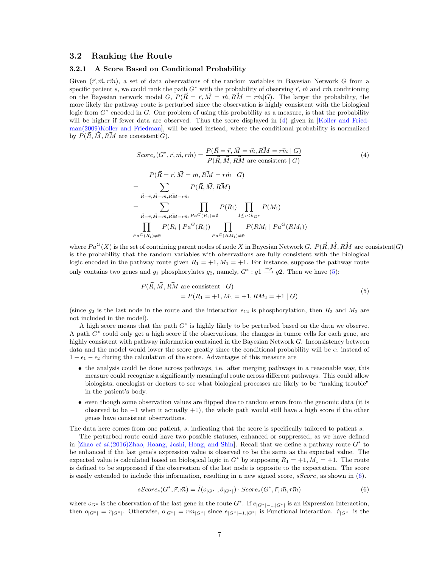### 3.2 Ranking the Route

#### 3.2.1 A Score Based on Conditional Probability

Given  $(\vec{r}, \vec{m}, r\vec{m})$ , a set of data observations of the random variables in Bayesian Network G from a specific patient s, we could rank the path  $G^*$  with the probability of observing  $\vec{r}$ ,  $\vec{m}$  and  $r\vec{m}$  conditioning on the Bayesian network model G,  $P(\vec{R} = \vec{r}, \vec{M} = \vec{m}, R\vec{M} = \vec{m} | G)$ . The larger the probability, the more likely the pathway route is perturbed since the observation is highly consistent with the biological logic from  $G^*$  encoded in  $G$ . One problem of using this probability as a measure, is that the probability will be higher if fewer data are observed. Thus the score displayed in  $(4)$  given in [\[Koller and Fried](#page-13-4)[man\(2009\)Koller and Friedman\]](#page-13-4), will be used instead, where the conditional probability is normalized by  $P(\vec{R}, \vec{M}, \vec{RM})$  are consistent $|G|$ .

<span id="page-6-0"></span>
$$
Score_s(G^*, \vec{r}, \vec{m}, \vec{rm}) = \frac{P(\vec{R} = \vec{r}, \vec{M} = \vec{m}, R\vec{M} = \vec{rm} | G)}{P(\vec{R}, \vec{M}, R\vec{M} \text{ are consistent} | G)}
$$
(4)

$$
P(\vec{R} = \vec{r}, \vec{M} = \vec{m}, R\vec{M} = r\vec{m} | G)
$$
  
= 
$$
\sum_{\vec{R} = \vec{r}, \vec{M} = \vec{m}, R\vec{M} = r\vec{m}} P(\vec{R}, \vec{M}, R\vec{M})
$$
  
= 
$$
\sum_{\vec{R} = \vec{r}, \vec{M} = \vec{m}, R\vec{M} = r\vec{m}} \prod_{P a^G(R_i) = \emptyset} P(R_i) \prod_{1 \leq i < k_{G^*}} P(M_i)
$$
  

$$
\prod_{P a^G(R_i) \neq \emptyset} P(R_i | Pa^G(R_i)) \prod_{P a^G(RM_i) \neq \emptyset} P(RM_i | Pa^G(RM_i))
$$

where  $Pa^G(X)$  is the set of containing parent nodes of node X in Bayesian Network G.  $P(\vec{R}, \vec{M}, R\vec{M})$  are consistent  $|G\rangle$ is the probability that the random variables with observations are fully consistent with the biological logic encoded in the pathway route given  $R_1 = +1$ ,  $M_1 = +1$ . For instance, suppose the pathway route only contains two genes and  $g_1$  phosphorylates  $g_2$ , namely,  $G^* : g_1 \stackrel{+p}{\longrightarrow} g_2$ . Then we have [\(5\)](#page-6-1):

$$
P(\vec{R}, \vec{M}, \vec{RM}) \text{ are consistent } | G)
$$
  
=  $P(R_1 = +1, M_1 = +1, RM_2 = +1 | G)$  (5)

<span id="page-6-1"></span>(since  $g_2$  is the last node in the route and the interaction  $e_{12}$  is phosphorylation, then  $R_2$  and  $M_2$  are not included in the model).

A high score means that the path  $G^*$  is highly likely to be perturbed based on the data we observe. A path  $G^*$  could only get a high score if the observations, the changes in tumor cells for each gene, are highly consistent with pathway information contained in the Bayesian Network G. Inconsistency between data and the model would lower the score greatly since the conditional probability will be  $\epsilon_1$  instead of  $1 - \epsilon_1 - \epsilon_2$  during the calculation of the score. Advantages of this measure are

- the analysis could be done across pathways, i.e. after merging pathways in a reasonable way, this measure could recognize a significantly meaningful route across different pathways. This could allow biologists, oncologist or doctors to see what biological processes are likely to be "making trouble" in the patient's body.
- even though some observation values are flipped due to random errors from the genomic data (it is observed to be −1 when it actually +1), the whole path would still have a high score if the other genes have consistent observations.

The data here comes from one patient, s, indicating that the score is specifically tailored to patient s.

The perturbed route could have two possible statuses, enhanced or suppressed, as we have defined in [Zhao et al.[\(2016\)Zhao, Hoang, Joshi, Hong, and Shin\]](#page-15-0). Recall that we define a pathway route  $G^*$  to be enhanced if the last gene's expression value is observed to be the same as the expected value. The expected value is calculated based on biological logic in  $G^*$  by supposing  $R_1 = +1, M_1 = +1$ . The route is defined to be suppressed if the observation of the last node is opposite to the expectation. The score is easily extended to include this information, resulting in a new signed score, sScore, as shown in [\(6\)](#page-6-2).

<span id="page-6-2"></span>
$$
sScore_s(G^*,\vec{r},\vec{m}) = \tilde{I}(o_{|G^*|},\dot{o}_{|G^*|}) \cdot Score_s(G^*,\vec{r},\vec{m},\vec{rm})
$$
\n
$$
(6)
$$

where  $o_{G^*}$  is the observation of the last gene in the route  $G^*$ . If  $e_{|G^*|-1,|G^*|}$  is an Expression Interaction, then  $o_{|G^*|} = r_{|G^*|}$ . Otherwise,  $o_{|G^*|} = rm_{|G^*|}$  since  $e_{|G^*|-1,|G^*|}$  is Functional interaction.  $\dot{r}_{|G^*|}$  is the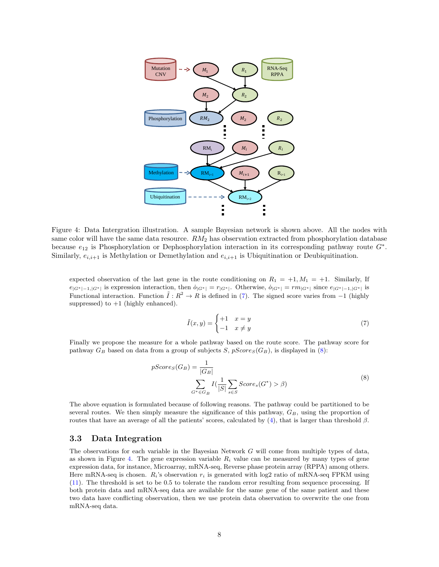

<span id="page-7-2"></span>Figure 4: Data Intergration illustration. A sample Bayesian network is shown above. All the nodes with same color will have the same data resource.  $RM_2$  has observation extracted from phosphorylation database because  $e_{12}$  is Phosphorylation or Dephosphorylation interaction in its corresponding pathway route  $G^*$ . Similarly,  $e_{i,i+1}$  is Methylation or Demethylation and  $e_{i,i+1}$  is Ubiquitination or Deubiquitination.

expected observation of the last gene in the route conditioning on  $R_1 = +1$ ,  $M_1 = +1$ . Similarly, If  $e_{|G^*|-1,|G^*|}$  is expression interaction, then  $\dot{o}_{|G^*|}=r_{|G^*|}$ . Otherwise,  $\dot{o}_{|G^*|}=rm_{|G^*|}$  since  $e_{|G^*|-1,|G^*|}$  is Functional interaction. Function  $\tilde{I}: R^2 \to R$  is defined in [\(7\)](#page-7-0). The signed score varies from -1 (highly suppressed) to  $+1$  (highly enhanced).

<span id="page-7-0"></span>
$$
\tilde{I}(x,y) = \begin{cases}\n+1 & x = y \\
-1 & x \neq y\n\end{cases}
$$
\n(7)

Finally we propose the measure for a whole pathway based on the route score. The pathway score for pathway  $G_B$  based on data from a group of subjects S,  $pScores(G_B)$ , is displayed in [\(8\)](#page-7-1):

$$
pScore_S(G_B) = \frac{1}{|G_B|} \sum_{G^* \in G_B} I(\frac{1}{|S|} \sum_{s \in S} Score_s(G^*) > \beta)
$$
\n
$$
(8)
$$

<span id="page-7-1"></span>The above equation is formulated because of following reasons. The pathway could be partitioned to be several routes. We then simply measure the significance of this pathway,  $G_B$ , using the proportion of routes that have an average of all the patients' scores, calculated by [\(4\)](#page-6-0), that is larger than threshold  $β$ .

### <span id="page-7-3"></span>3.3 Data Integration

The observations for each variable in the Bayesian Network G will come from multiple types of data, as shown in Figure [4.](#page-7-2) The gene expression variable  $R_i$  value can be measured by many types of gene expression data, for instance, Microarray, mRNA-seq, Reverse phase protein array (RPPA) among others. Here mRNA-seq is chosen.  $R_i$ 's observation  $r_i$  is generated with log2 ratio of mRNA-seq FPKM using [\(11\)](#page-8-0). The threshold is set to be 0.5 to tolerate the random error resulting from sequence processing. If both protein data and mRNA-seq data are available for the same gene of the same patient and these two data have conflicting observation, then we use protein data observation to overwrite the one from mRNA-seq data.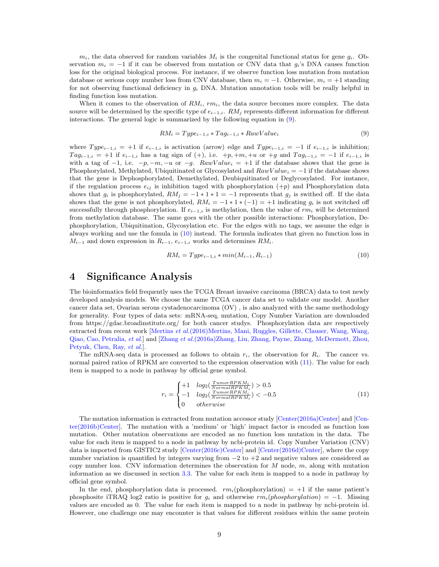$m_i$ , the data observed for random variables  $M_i$  is the congenital functional status for gene  $q_i$ . Observation  $m_i = -1$  if it can be observed from mutation or CNV data that  $q_i$ 's DNA causes function loss for the original biological process. For instance, if we observe function loss mutation from mutation database or serious copy number loss from CNV database, then  $m_i = -1$ . Otherwise,  $m_i = +1$  standing for not observing functional deficiency in  $g_i$  DNA. Mutation annotation tools will be really helpful in finding function loss mutation.

When it comes to the observation of  $RM_i$ ,  $rm_i$ , the data source becomes more complex. The data source will be determined by the specific type of  $e_{i-1,i}$ .  $RM_i$  represents different information for different interactions. The general logic is summarized by the following equation in [\(9\)](#page-8-1).

<span id="page-8-1"></span>
$$
RM_i = Type_{i-1,i} * Tag_{i-1,i} * RawValue_i \tag{9}
$$

where  $Type_{i-1,i} = +1$  if  $e_{i-1,i}$  is activation (arrow) edge and  $Type_{i-1,i} = -1$  if  $e_{i-1,i}$  is inhibition;  $Tag_{i-1,i} = +1$  if  $e_{i-1,i}$  has a tag sign of (+), i.e.  $+p, +m, +u$  or  $+g$  and  $Tag_{i-1,i} = -1$  if  $e_{i-1,i}$  is with a tag of  $-1$ , i.e.  $-p, -m, -u$  or  $-g$ . RawValue<sub>i</sub> =  $+1$  if the database shows that the gene is Phosphorylated, Methylated, Ubiquitinated or Glycosylated and  $RawValue_i = -1$  if the database shows that the gene is Dephosphorylated, Demethylated, Deubiquitinated or Deglycosylated. For instance, if the regulation process  $e_{ij}$  is inhibition taged with phosphorylation  $(+p)$  and Phosphorylation data shows that  $g_i$  is phosphorylated,  $RM_i = -1 * 1 * 1 = -1$  represents that  $g_i$  is swithed off. If the data shows that the gene is not phosphorylated,  $RM_i = -1 * 1 * (-1) = +1$  indicating  $g_i$  is not switched off successfully through phosphorylation. If  $e_{i-1,i}$  is methylation, then the value of  $rm_i$  will be determined from methylation database. The same goes with the other possible interactions: Phosphorylation, Dephosphorylation, Ubiquitination, Glycosylation etc. For the edges with no tags, we assume the edge is always working and use the fomula in [\(10\)](#page-8-2) instead. The formula indicates that given no function loss in  $M_{i-1}$  and down expression in  $R_{i-1}$ ,  $e_{i-1,i}$  works and determines  $RM_i$ .

<span id="page-8-2"></span>
$$
RM_i = Type_{i-1,i} * min(M_{i-1}, R_{i-1})
$$
\n(10)

# 4 Significance Analysis

The bioinformatics field frequently uses the TCGA Breast invasive carcinoma (BRCA) data to test newly developed analysis models. We choose the same TCGA cancer data set to validate our model. Another cancer data set, Ovarian serous cystadenocarcinoma (OV) , is also analyzed with the same methodology for generality. Four types of data sets: mRNA-seq, mutation, Copy Number Variation are downloaded from https://gdac.broadinstitute.org/ for both cancer studys. Phosphorylation data are respectively extracted from recent work [Mertins et al.[\(2016\)Mertins, Mani, Ruggles, Gillette, Clauser, Wang, Wang,](#page-13-5) [Qiao, Cao, Petralia,](#page-13-5) et al.] and [Zhang et al.[\(2016a\)Zhang, Liu, Zhang, Payne, Zhang, McDermott, Zhou,](#page-14-5) [Petyuk, Chen, Ray,](#page-14-5) et al.].

The mRNA-seq data is processed as follows to obtain  $r_i$ , the observation for  $R_i$ . The cancer vs. normal paired ratios of RPKM are converted to the expression observation with [\(11\)](#page-8-0). The value for each item is mapped to a node in pathway by official gene symbol.

<span id="page-8-0"></span>
$$
r_i = \begin{cases} +1 & \log_2(\frac{TumorRPKM_i}{NormenRPKM_i}) > 0.5\\ -1 & \log_2(\frac{TumorRPKM_i}{NormaRPKM_i}) < -0.5\\ 0 & \text{otherwise} \end{cases} \tag{11}
$$

The mutation information is extracted from mutation accessor study [\[Center\(2016a\)Center\]](#page-12-0) and [\[Cen](#page-12-1)[ter\(2016b\)Center\]](#page-12-1). The mutation with a 'medium' or 'high' impact factor is encoded as function loss mutation. Other mutation observations are encoded as no function loss mutation in the data. The value for each item is mapped to a node in pathway by ncbi-protein id. Copy Number Variation (CNV) data is imported from GISTIC2 study [\[Center\(2016c\)Center\]](#page-12-2) and [\[Center\(2016d\)Center\]](#page-12-3), where the copy number variation is quantified by integers varying from −2 to +2 and negative values are considered as copy number loss. CNV information determines the observation for  $M$  node,  $m$ , along with mutation information as we discussed in section [3.3.](#page-7-3) The value for each item is mapped to a node in pathway by official gene symbol.

In the end, phosphorylation data is processed.  $rm_i(boshophorylation) = +1$  if the same patient's phosphosite iTRAQ log2 ratio is positive for  $g_i$  and otherwise  $rm_i(phosphorylation) = -1$ . Missing values are encoded as 0. The value for each item is mapped to a node in pathway by ncbi-protein id. However, one challenge one may encounter is that values for different residues within the same protein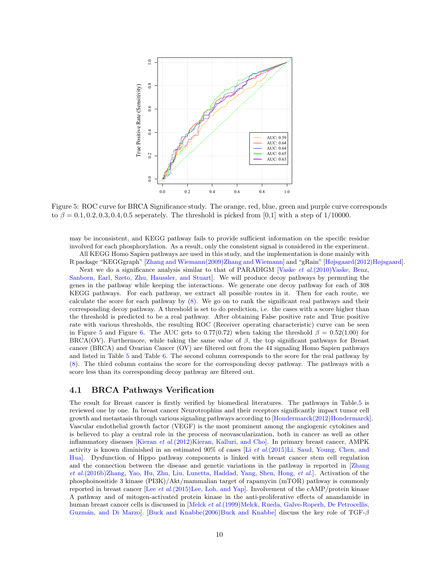

<span id="page-9-0"></span>Figure 5: ROC curve for BRCA Significance study. The orange, red, blue, green and purple curve corresponds to  $\beta = 0.1, 0.2, 0.3, 0.4, 0.5$  seperately. The threshold is picked from [0,1] with a step of 1/10000.

may be inconsistent, and KEGG pathway fails to provide sufficient information on the specific residue involved for each phosphorylation. As a result, only the consistent signal is considered in the experiment.

All KEGG Homo Sapien pathways are used in this study, and the implementation is done mainly with R package "KEGGgraph" [\[Zhang and Wiemann\(2009\)Zhang and Wiemann\]](#page-14-6) and "gRain" [\[Højsgaard\(2012\)Højsgaard\]](#page-13-6).

Next we do a significance analysis similar to that of PARADIGM [Vaske *et al.*[\(2010\)Vaske, Benz,](#page-14-1) [Sanborn, Earl, Szeto, Zhu, Haussler, and Stuart\]](#page-14-1). We will produce decoy pathways by permuting the genes in the pathway while keeping the interactions. We generate one decoy pathway for each of 308 KEGG pathways. For each pathway, we extract all possible routes in it. Then for each route, we calculate the score for each pathway by [\(8\)](#page-7-1). We go on to rank the significant real pathways and their corresponding decoy pathway. A threshold is set to do prediction, i.e. the cases with a score higher than the threshold is predicted to be a real pathway. After obtaining False positive rate and True positive rate with various thresholds, the resulting ROC (Receiver operating characteristic) curve can be seen in Figure [5](#page-9-0) and Figure [6.](#page-10-0) The AUC gets to 0.77(0.72) when taking the threshold  $\beta = 0.52(1.00)$  for BRCA(OV). Furthermore, while taking the same value of  $\beta$ , the top significant pathways for Breast cancer (BRCA) and Ovarian Cancer (OV) are filtered out from the 44 signaling Homo Sapien pathways and listed in Table [5](#page-11-0) and Table [6.](#page-12-4) The second column corresponds to the score for the real pathway by [\(8\)](#page-7-1). The third column contains the score for the corresponding decoy pathway. The pathways with a score less than its corresponding decoy pathway are filtered out.

### 4.1 BRCA Pathways Verification

The result for Breast cancer is firstly verified by biomedical literatures. The pathways in Table[.5](#page-11-0) is reviewed one by one. In breast cancer Neurotrophins and their receptors significantly impact tumor cell growth and metastasis through various signaling pathways according to [\[Hondermarck\(2012\)Hondermarck\]](#page-13-7). Vascular endothelial growth factor (VEGF) is the most prominent among the angiogenic cytokines and is believed to play a central role in the process of neovascularization, both in cancer as well as other inflammatory diseases [Kieran et al.[\(2012\)Kieran, Kalluri, and Cho\]](#page-13-8). In primary breast cancer, AMPK activity is known diminished in an estimated 90% of cases [Li et al.[\(2015\)Li, Saud, Young, Chen, and](#page-13-9) [Hua\]](#page-13-9). Dysfunction of Hippo pathway components is linked with breast cancer stem cell regulation and the connection between the disease and genetic variations in the pathway is reported in [\[Zhang](#page-14-7) et al.[\(2016b\)Zhang, Yao, Hu, Zhu, Liu, Lunetta, Haddad, Yang, Shen, Hong,](#page-14-7) et al.]. Activation of the phosphoinositide 3 kinase (PI3K)/Akt/mammalian target of rapamycin (mTOR) pathway is commonly reported in breast cancer [Lee et al.[\(2015\)Lee, Loh, and Yap\]](#page-13-10). Involvement of the cAMP/protein kinase A pathway and of mitogen-activated protein kinase in the anti-proliferative effects of anandamide in human breast cancer cells is discussed in [Melck *et al.*[\(1999\)Melck, Rueda, Galve-Roperh, De Petrocellis,](#page-13-11) Guzmán, and Di Marzo]. [\[Buck and Knabbe\(2006\)Buck and Knabbe\]](#page-12-5) discuss the key role of TGF- $\beta$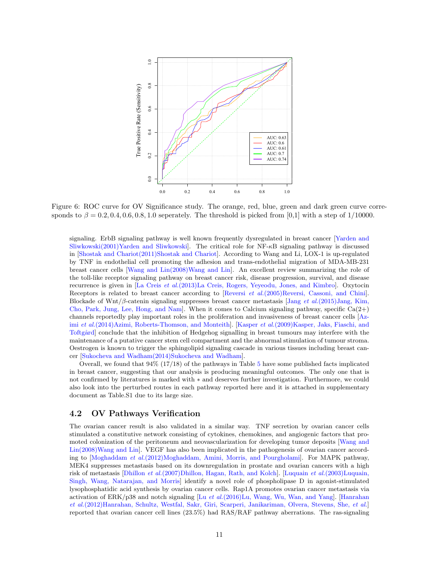

<span id="page-10-0"></span>Figure 6: ROC curve for OV Significance study. The orange, red, blue, green and dark green curve corresponds to  $\beta = 0.2, 0.4, 0.6, 0.8, 1.0$  seperately. The threshold is picked from [0,1] with a step of 1/10000.

signaling. ErbB signaling pathway is well known frequently dysregulated in breast cancer [\[Yarden and](#page-14-8) [Sliwkowski\(2001\)Yarden and Sliwkowski\]](#page-14-8). The critical role for NF-κB signaling pathway is discussed in [\[Shostak and Chariot\(2011\)Shostak and Chariot\]](#page-14-9). According to Wang and Li, LOX-1 is up-regulated by TNF in endothelial cell promoting the adhesion and trans-endothelial migration of MDA-MB-231 breast cancer cells [\[Wang and Lin\(2008\)Wang and Lin\]](#page-14-10). An excellent review summarizing the role of the toll-like receptor signaling pathway on breast cancer risk, disease progression, survival, and disease recurrence is given in [La Creis et al.[\(2013\)La Creis, Rogers, Yeyeodu, Jones, and Kimbro\]](#page-13-12). Oxytocin Receptors is related to breast cancer according to [Reversi et al.[\(2005\)Reversi, Cassoni, and Chini\]](#page-14-11). Blockade of Wnt/ $\beta$ -catenin signaling suppresses breast cancer metastasis [Jang *et al.*[\(2015\)Jang, Kim,](#page-13-13) [Cho, Park, Jung, Lee, Hong, and Nam\]](#page-13-13). When it comes to Calcium signaling pathway, specific  $Ca(2+)$ channels reportedly play important roles in the proliferation and invasiveness of breast cancer cells [\[Az-](#page-12-6)imi et al.[\(2014\)Azimi, Roberts-Thomson, and Monteith\]](#page-12-6). [Kasper et al.[\(2009\)Kasper, Jaks, Fiaschi, and](#page-13-14) Toftgård, conclude that the inhibition of Hedgehog signalling in breast tumours may interfere with the maintenance of a putative cancer stem cell compartment and the abnormal stimulation of tumour stroma. Oestrogen is known to trigger the sphingolipid signaling cascade in various tissues including breast cancer [\[Sukocheva and Wadham\(2014\)Sukocheva and Wadham\]](#page-14-12).

Overall, we found that 94% (17/18) of the pathways in Table [5](#page-11-0) have some published facts implicated in breast cancer, suggesting that our analysis is producing meaningful outcomes. The only one that is not confirmed by literatures is marked with ∗ and deserves further investigation. Furthermore, we could also look into the perturbed routes in each pathway reported here and it is attached in supplementary document as Table.S1 due to its large size.

### 4.2 OV Pathways Verification

The ovarian cancer result is also validated in a similar way. TNF secretion by ovarian cancer cells stimulated a constitutive network consisting of cytokines, chemokines, and angiogenic factors that promoted colonization of the peritoneum and neovascularization for developing tumor deposits [\[Wang and](#page-14-10) Lin(2008)Wang and Lin. VEGF has also been implicated in the pathogenesis of ovarian cancer according to [Moghaddam et al.[\(2012\)Moghaddam, Amini, Morris, and Pourgholami\]](#page-14-13). For MAPK pathway, MEK4 suppresses metastasis based on its downregulation in prostate and ovarian cancers with a high risk of metastasis [Dhillon et al.[\(2007\)Dhillon, Hagan, Rath, and Kolch\]](#page-12-7). [Luquain et al.[\(2003\)Luquain,](#page-13-15) [Singh, Wang, Natarajan, and Morris\]](#page-13-15) identify a novel role of phospholipase D in agonist-stimulated lysophosphatidic acid synthesis by ovarian cancer cells. Rap1A promotes ovarian cancer metastasis via activation of  $ERK/p38$  and notch signaling [Lu et al.[\(2016\)Lu, Wang, Wu, Wan, and Yang\]](#page-13-16). [\[Hanrahan](#page-13-17) et al.[\(2012\)Hanrahan, Schultz, Westfal, Sakr, Giri, Scarperi, Janikariman, Olvera, Stevens, She,](#page-13-17) et al.] reported that ovarian cancer cell lines (23.5%) had RAS/RAF pathway aberrations. The ras-signaling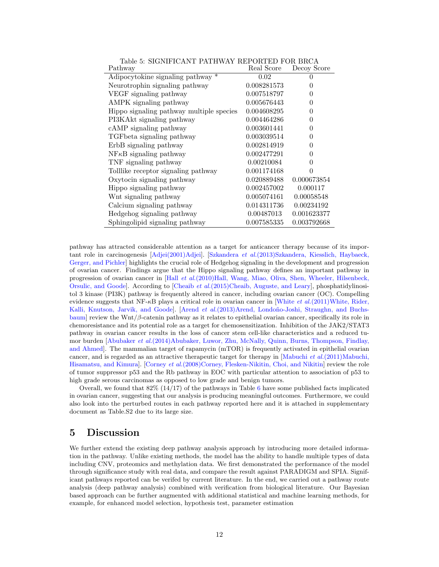| Pathway                                  | Real Score  | Decoy Score  |
|------------------------------------------|-------------|--------------|
| Adipocytokine signaling pathway *        | 0.02        |              |
| Neurotrophin signaling pathway           | 0.008281573 |              |
| VEGF signaling pathway                   | 0.007518797 |              |
| AMPK signaling pathway                   | 0.005676443 | 0            |
| Hippo signaling pathway multiple species | 0.004608295 | 0            |
| PI3KAkt signaling pathway                | 0.004464286 | 0            |
| cAMP signaling pathway                   | 0.003601441 | 0            |
| TGF beta signaling pathway               | 0.003039514 | 0            |
| ErbB signaling pathway                   | 0.002814919 | $\mathbf{0}$ |
| $NFAB$ signaling pathway                 | 0.002477291 | 0            |
| TNF signaling pathway                    | 0.00210084  |              |
| Tolllike receptor signaling pathway      | 0.001174168 |              |
| Oxytocin signaling pathway               | 0.020889488 | 0.000673854  |
| Hippo signaling pathway                  | 0.002457002 | 0.000117     |
| Wnt signaling pathway                    | 0.005074161 | 0.00058548   |
| Calcium signaling pathway                | 0.014311736 | 0.00234192   |
| Hedgehog signaling pathway               | 0.00487013  | 0.001623377  |
| Sphingolipid signaling pathway           | 0.007585335 | 0.003792668  |

<span id="page-11-0"></span>Table 5: SIGNIFICANT PATHWAY REPORTED FOR BRCA

pathway has attracted considerable attention as a target for anticancer therapy because of its important role in carcinogenesis [\[Adjei\(2001\)Adjei\]](#page-12-8). [Szkandera et al.[\(2013\)Szkandera, Kiesslich, Haybaeck,](#page-14-14) [Gerger, and Pichler\]](#page-14-14) highlights the crucial role of Hedgehog signaling in the development and progression of ovarian cancer. Findings argue that the Hippo signaling pathway defines an important pathway in progression of ovarian cancer in [Hall et al.[\(2010\)Hall, Wang, Miao, Oliva, Shen, Wheeler, Hilsenbeck,](#page-12-9) [Orsulic, and Goode\]](#page-12-9). According to [Cheaib et al.[\(2015\)Cheaib, Auguste, and Leary\]](#page-12-10), phosphatidylinositol 3 kinase (PI3K) pathway is frequently altered in cancer, including ovarian cancer (OC). Compelling evidence suggests that  $NF-\kappa B$  plays a critical role in ovarian cancer in [White *et al.*[\(2011\)White, Rider,](#page-14-15) [Kalli, Knutson, Jarvik, and Goode\]](#page-14-15). [Arend et al.(2013)Arend, Londoño-Joshi, Straughn, and Buchs[baum\]](#page-12-11) review the Wnt/ $\beta$ -catenin pathway as it relates to epithelial ovarian cancer, specifically its role in chemoresistance and its potential role as a target for chemosensitization. Inhibition of the JAK2/STAT3 pathway in ovarian cancer results in the loss of cancer stem cell-like characteristics and a reduced tumor burden [Abubaker et al.[\(2014\)Abubaker, Luwor, Zhu, McNally, Quinn, Burns, Thompson, Findlay,](#page-12-12) [and Ahmed\]](#page-12-12). The mammalian target of rapamycin (mTOR) is frequently activated in epithelial ovarian cancer, and is regarded as an attractive therapeutic target for therapy in  $[Mabuchi, ed..(2011)Mabuchi,$  $[Mabuchi, ed..(2011)Mabuchi,$ [Hisamatsu, and Kimura\]](#page-13-18). [Corney et al.[\(2008\)Corney, Flesken-Nikitin, Choi, and Nikitin\]](#page-12-13) review the role of tumor suppressor p53 and the Rb pathway in EOC with particular attention to association of p53 to high grade serous carcinomas as opposed to low grade and benign tumors.

Overall, we found that  $82\%$  (14/17) of the pathways in Table [6](#page-12-4) have some published facts implicated in ovarian cancer, suggesting that our analysis is producing meaningful outcomes. Furthermore, we could also look into the perturbed routes in each pathway reported here and it is attached in supplementary document as Table.S2 due to its large size.

## 5 Discussion

We further extend the existing deep pathway analysis approach by introducing more detailed information in the pathway. Unlike existing methods, the model has the ability to handle multiple types of data including CNV, proteomics and methylation data. We first demonstrated the performance of the model through significance study with real data, and compare the result against PARADIGM and SPIA. Significant pathways reported can be verifed by current literature. In the end, we carried out a pathway route analysis (deep pathway analysis) combined with verification from biological literature. Our Bayesian based approach can be further augmented with additional statistical and machine learning methods, for example, for enhanced model selection, hypothesis test, parameter estimation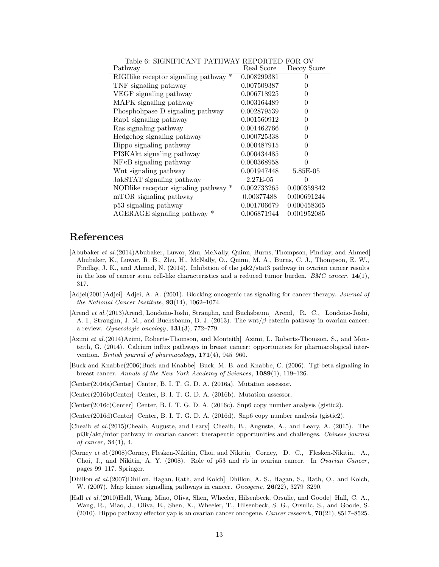| Table 6: SIGNIFICANT PATHWAY<br>REPORTED FOR OV |                  |
|-------------------------------------------------|------------------|
| Real Score                                      | Decoy Score      |
| 0.008299381                                     | $\mathbf{0}$     |
| 0.007509387                                     | $\mathbf{0}$     |
| 0.006718925                                     | $\Omega$         |
| 0.003164489                                     | 0                |
| 0.002879539                                     | $\theta$         |
| 0.001560912                                     | $\theta$         |
| 0.001462766                                     | $\theta$         |
| 0.000725338                                     | 0                |
| 0.000487915                                     | $\Omega$         |
| 0.000434485                                     | $\left( \right)$ |
| 0.000368958                                     | 0                |
| 0.001947448                                     | 5.85E-05         |
| 2.27E-05                                        | $\mathbf{0}$     |
| 0.002733265                                     | 0.000359842      |
| 0.00377488                                      | 0.000691244      |
| 0.001706679                                     | 0.000458365      |
| 0.006871944                                     | 0.001952085      |
|                                                 |                  |

<span id="page-12-4"></span>

| Table 6: SIGNIFICANT PATHWAY REPORTED FOR OV |                        |  |
|----------------------------------------------|------------------------|--|
| Pathway                                      | Real Score Decoy Score |  |
| RIGIlike receptor signaling pathway *        | 0.008299381            |  |
| ____                                         | ----------             |  |

# References

- <span id="page-12-12"></span>[Abubaker et al.(2014)Abubaker, Luwor, Zhu, McNally, Quinn, Burns, Thompson, Findlay, and Ahmed] Abubaker, K., Luwor, R. B., Zhu, H., McNally, O., Quinn, M. A., Burns, C. J., Thompson, E. W., Findlay, J. K., and Ahmed, N. (2014). Inhibition of the jak2/stat3 pathway in ovarian cancer results in the loss of cancer stem cell-like characteristics and a reduced tumor burden. BMC cancer,  $14(1)$ , 317.
- <span id="page-12-8"></span>[Adjei(2001)Adjei] Adjei, A. A. (2001). Blocking oncogenic ras signaling for cancer therapy. Journal of the National Cancer Institute, 93(14), 1062–1074.
- <span id="page-12-11"></span>[Arend et al.(2013)Arend, Londoño-Joshi, Straughn, and Buchsbaum] Arend, R. C., Londoño-Joshi, A. I., Straughn, J. M., and Buchsbaum, D. J. (2013). The wnt/β-catenin pathway in ovarian cancer: a review. Gynecologic oncology,  $131(3)$ ,  $772-779$ .
- <span id="page-12-6"></span>[Azimi et al.(2014)Azimi, Roberts-Thomson, and Monteith] Azimi, I., Roberts-Thomson, S., and Monteith, G. (2014). Calcium influx pathways in breast cancer: opportunities for pharmacological intervention. British journal of pharmacology, 171(4), 945-960.
- <span id="page-12-5"></span>[Buck and Knabbe(2006)Buck and Knabbe] Buck, M. B. and Knabbe, C. (2006). Tgf-beta signaling in breast cancer. Annals of the New York Academy of Sciences, 1089(1), 119–126.
- <span id="page-12-0"></span>[Center(2016a)Center] Center, B. I. T. G. D. A. (2016a). Mutation assessor.
- <span id="page-12-1"></span>[Center(2016b)Center] Center, B. I. T. G. D. A. (2016b). Mutation assessor.
- <span id="page-12-2"></span>[Center(2016c)Center] Center, B. I. T. G. D. A. (2016c). Snp6 copy number analysis (gistic2).
- <span id="page-12-3"></span>[Center(2016d)Center] Center, B. I. T. G. D. A. (2016d). Snp6 copy number analysis (gistic2).
- <span id="page-12-10"></span>[Cheaib et al.(2015)Cheaib, Auguste, and Leary] Cheaib, B., Auguste, A., and Leary, A. (2015). The pi3k/akt/mtor pathway in ovarian cancer: therapeutic opportunities and challenges. Chinese journal of cancer,  $34(1)$ , 4.
- <span id="page-12-13"></span>[Corney et al.(2008)Corney, Flesken-Nikitin, Choi, and Nikitin] Corney, D. C., Flesken-Nikitin, A., Choi, J., and Nikitin, A. Y. (2008). Role of p53 and rb in ovarian cancer. In Ovarian Cancer, pages 99–117. Springer.
- <span id="page-12-7"></span>[Dhillon et al.(2007)Dhillon, Hagan, Rath, and Kolch] Dhillon, A. S., Hagan, S., Rath, O., and Kolch, W. (2007). Map kinase signalling pathways in cancer. Oncogene, **26**(22), 3279–3290.
- <span id="page-12-9"></span>[Hall et al.(2010)Hall, Wang, Miao, Oliva, Shen, Wheeler, Hilsenbeck, Orsulic, and Goode] Hall, C. A., Wang, R., Miao, J., Oliva, E., Shen, X., Wheeler, T., Hilsenbeck, S. G., Orsulic, S., and Goode, S.  $(2010)$ . Hippo pathway effector yap is an ovarian cancer oncogene. *Cancer research*, **70** $(21)$ , 8517–8525.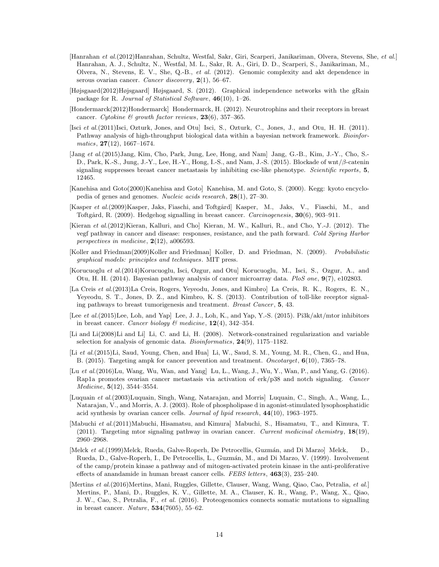- <span id="page-13-17"></span>[Hanrahan et al.(2012)Hanrahan, Schultz, Westfal, Sakr, Giri, Scarperi, Janikariman, Olvera, Stevens, She, et al.] Hanrahan, A. J., Schultz, N., Westfal, M. L., Sakr, R. A., Giri, D. D., Scarperi, S., Janikariman, M., Olvera, N., Stevens, E. V., She, Q.-B., et al. (2012). Genomic complexity and akt dependence in serous ovarian cancer. Cancer discovery, 2(1), 56–67.
- <span id="page-13-6"></span>[Højsgaard(2012)Højsgaard] Højsgaard, S. (2012). Graphical independence networks with the gRain package for R. Journal of Statistical Software, 46(10), 1–26.
- <span id="page-13-7"></span>[Hondermarck(2012)Hondermarck] Hondermarck, H. (2012). Neurotrophins and their receptors in breast cancer. Cytokine  $\mathcal{C}$  growth factor reviews, 23(6), 357-365.
- <span id="page-13-2"></span>[Isci et al.(2011)Isci, Ozturk, Jones, and Otu] Isci, S., Ozturk, C., Jones, J., and Otu, H. H. (2011). Pathway analysis of high-throughput biological data within a bayesian network framework. Bioinfor $matics, 27(12), 1667-1674.$
- <span id="page-13-13"></span>[Jang et al.(2015)Jang, Kim, Cho, Park, Jung, Lee, Hong, and Nam] Jang, G.-B., Kim, J.-Y., Cho, S.- D., Park, K.-S., Jung, J.-Y., Lee, H.-Y., Hong, I.-S., and Nam, J.-S. (2015). Blockade of wnt/β-catenin signaling suppresses breast cancer metastasis by inhibiting csc-like phenotype. Scientific reports, 5, 12465.
- <span id="page-13-3"></span>[Kanehisa and Goto(2000)Kanehisa and Goto] Kanehisa, M. and Goto, S. (2000). Kegg: kyoto encyclopedia of genes and genomes. Nucleic acids research, 28(1), 27–30.
- <span id="page-13-14"></span>[Kasper et al.(2009)Kasper, Jaks, Fiaschi, and Toftgård] Kasper, M., Jaks, V., Fiaschi, M., and Toftgård, R. (2009). Hedgehog signalling in breast cancer. *Carcinogenesis*,  $30(6)$ ,  $903-911$ .
- <span id="page-13-8"></span>[Kieran et al.(2012)Kieran, Kalluri, and Cho] Kieran, M. W., Kalluri, R., and Cho, Y.-J. (2012). The vegf pathway in cancer and disease: responses, resistance, and the path forward. Cold Spring Harbor perspectives in medicine, 2(12), a006593.
- <span id="page-13-4"></span>[Koller and Friedman(2009)Koller and Friedman] Koller, D. and Friedman, N. (2009). Probabilistic graphical models: principles and techniques. MIT press.
- <span id="page-13-1"></span>[Korucuoglu et al.(2014)Korucuoglu, Isci, Ozgur, and Otu] Korucuoglu, M., Isci, S., Ozgur, A., and Otu, H. H. (2014). Bayesian pathway analysis of cancer microarray data. PloS one, 9(7), e102803.
- <span id="page-13-12"></span>[La Creis et al.(2013)La Creis, Rogers, Yeyeodu, Jones, and Kimbro] La Creis, R. K., Rogers, E. N., Yeyeodu, S. T., Jones, D. Z., and Kimbro, K. S. (2013). Contribution of toll-like receptor signaling pathways to breast tumorigenesis and treatment. Breast Cancer , 5, 43.
- <span id="page-13-10"></span>[Lee et al.(2015)Lee, Loh, and Yap] Lee, J. J., Loh, K., and Yap, Y.-S. (2015). Pi3k/akt/mtor inhibitors in breast cancer. Cancer biology  $\mathcal{B}$  medicine, 12(4), 342–354.
- <span id="page-13-0"></span>[Li and Li(2008)Li and Li] Li, C. and Li, H. (2008). Network-constrained regularization and variable selection for analysis of genomic data. *Bioinformatics*, **24**(9), 1175–1182.
- <span id="page-13-9"></span>[Li et al.(2015)Li, Saud, Young, Chen, and Hua] Li, W., Saud, S. M., Young, M. R., Chen, G., and Hua, B. (2015). Targeting ampk for cancer prevention and treatment. Oncotarget, 6(10), 7365–78.
- <span id="page-13-16"></span>[Lu et al.(2016)Lu, Wang, Wu, Wan, and Yang] Lu, L., Wang, J., Wu, Y., Wan, P., and Yang, G. (2016). Rap1a promotes ovarian cancer metastasis via activation of erk/p38 and notch signaling. Cancer Medicine, 5(12), 3544–3554.
- <span id="page-13-15"></span>[Luquain et al.(2003)Luquain, Singh, Wang, Natarajan, and Morris] Luquain, C., Singh, A., Wang, L., Natarajan, V., and Morris, A. J. (2003). Role of phospholipase d in agonist-stimulated lysophosphatidic acid synthesis by ovarian cancer cells. Journal of lipid research, 44(10), 1963–1975.
- <span id="page-13-18"></span>[Mabuchi et al.(2011)Mabuchi, Hisamatsu, and Kimura] Mabuchi, S., Hisamatsu, T., and Kimura, T. (2011). Targeting mtor signaling pathway in ovarian cancer. Current medicinal chemistry,  $18(19)$ , 2960–2968.
- <span id="page-13-11"></span>[Melck et al.(1999)Melck, Rueda, Galve-Roperh, De Petrocellis, Guzmán, and Di Marzo] Melck, D., Rueda, D., Galve-Roperh, I., De Petrocellis, L., Guzmán, M., and Di Marzo, V. (1999). Involvement of the camp/protein kinase a pathway and of mitogen-activated protein kinase in the anti-proliferative effects of anandamide in human breast cancer cells. FEBS letters, 463(3), 235–240.
- <span id="page-13-5"></span>[Mertins et al.(2016)Mertins, Mani, Ruggles, Gillette, Clauser, Wang, Wang, Qiao, Cao, Petralia, et al.] Mertins, P., Mani, D., Ruggles, K. V., Gillette, M. A., Clauser, K. R., Wang, P., Wang, X., Qiao, J. W., Cao, S., Petralia, F., et al. (2016). Proteogenomics connects somatic mutations to signalling in breast cancer. Nature, 534(7605), 55–62.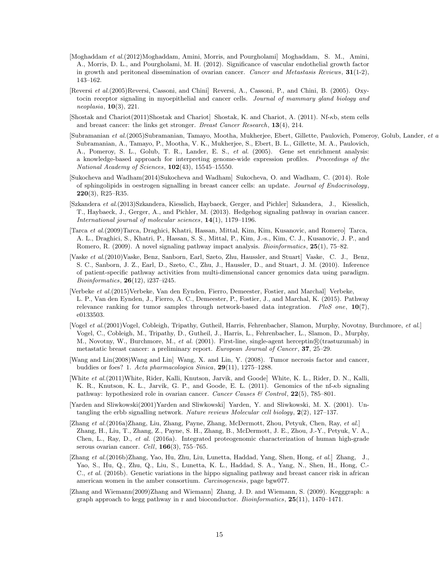- <span id="page-14-13"></span>[Moghaddam et al.(2012)Moghaddam, Amini, Morris, and Pourgholami] Moghaddam, S. M., Amini, A., Morris, D. L., and Pourgholami, M. H. (2012). Significance of vascular endothelial growth factor in growth and peritoneal dissemination of ovarian cancer. Cancer and Metastasis Reviews,  $31(1-2)$ , 143–162.
- <span id="page-14-11"></span>[Reversi et al.(2005)Reversi, Cassoni, and Chini] Reversi, A., Cassoni, P., and Chini, B. (2005). Oxytocin receptor signaling in myoepithelial and cancer cells. Journal of mammary gland biology and neoplasia, 10(3), 221.
- <span id="page-14-9"></span>[Shostak and Chariot(2011)Shostak and Chariot] Shostak, K. and Chariot, A. (2011). Nf-κb, stem cells and breast cancer: the links get stronger. Breast Cancer Research, 13(4), 214.
- <span id="page-14-2"></span>[Subramanian et al.(2005)Subramanian, Tamayo, Mootha, Mukherjee, Ebert, Gillette, Paulovich, Pomeroy, Golub, Lander, et al.] Subramanian, A., Tamayo, P., Mootha, V. K., Mukherjee, S., Ebert, B. L., Gillette, M. A., Paulovich, A., Pomeroy, S. L., Golub, T. R., Lander, E. S., et al. (2005). Gene set enrichment analysis: a knowledge-based approach for interpreting genome-wide expression profiles. Proceedings of the National Academy of Sciences,  $102(43)$ ,  $15545-15550$ .
- <span id="page-14-12"></span>[Sukocheva and Wadham(2014)Sukocheva and Wadham] Sukocheva, O. and Wadham, C. (2014). Role of sphingolipids in oestrogen signalling in breast cancer cells: an update. Journal of Endocrinology, 220(3), R25–R35.
- <span id="page-14-14"></span>[Szkandera et al.(2013)Szkandera, Kiesslich, Haybaeck, Gerger, and Pichler] Szkandera, J., Kiesslich, T., Haybaeck, J., Gerger, A., and Pichler, M. (2013). Hedgehog signaling pathway in ovarian cancer. International journal of molecular sciences, 14(1), 1179–1196.
- <span id="page-14-3"></span>[Tarca et al.(2009)Tarca, Draghici, Khatri, Hassan, Mittal, Kim, Kim, Kusanovic, and Romero] Tarca, A. L., Draghici, S., Khatri, P., Hassan, S. S., Mittal, P., Kim, J.-s., Kim, C. J., Kusanovic, J. P., and Romero, R. (2009). A novel signaling pathway impact analysis. Bioinformatics, 25(1), 75–82.
- <span id="page-14-1"></span>[Vaske et al.(2010)Vaske, Benz, Sanborn, Earl, Szeto, Zhu, Haussler, and Stuart] Vaske, C. J., Benz, S. C., Sanborn, J. Z., Earl, D., Szeto, C., Zhu, J., Haussler, D., and Stuart, J. M. (2010). Inference of patient-specific pathway activities from multi-dimensional cancer genomics data using paradigm. Bioinformatics, 26(12), i237–i245.
- <span id="page-14-4"></span>[Verbeke et al.(2015)Verbeke, Van den Eynden, Fierro, Demeester, Fostier, and Marchal] Verbeke, L. P., Van den Eynden, J., Fierro, A. C., Demeester, P., Fostier, J., and Marchal, K. (2015). Pathway relevance ranking for tumor samples through network-based data integration. PloS one, 10(7), e0133503.
- <span id="page-14-0"></span>[Vogel et al.(2001)Vogel, Cobleigh, Tripathy, Gutheil, Harris, Fehrenbacher, Slamon, Murphy, Novotny, Burchmore, et al.] Vogel, C., Cobleigh, M., Tripathy, D., Gutheil, J., Harris, L., Fehrenbacher, L., Slamon, D., Murphy, M., Novotny, W., Burchmore, M., et al. (2001). First-line, single-agent herceptin®(trastuzumab) in metastatic breast cancer: a preliminary report. European Journal of Cancer, 37, 25–29.
- <span id="page-14-10"></span>[Wang and Lin(2008)Wang and Lin] Wang, X. and Lin, Y. (2008). Tumor necrosis factor and cancer, buddies or foes? 1. Acta pharmacologica Sinica, 29(11), 1275–1288.
- <span id="page-14-15"></span>[White et al.(2011)White, Rider, Kalli, Knutson, Jarvik, and Goode] White, K. L., Rider, D. N., Kalli, K. R., Knutson, K. L., Jarvik, G. P., and Goode, E. L. (2011). Genomics of the nf-κb signaling pathway: hypothesized role in ovarian cancer. Cancer Causes & Control,  $22(5)$ , 785–801.
- <span id="page-14-8"></span>[Yarden and Sliwkowski(2001)Yarden and Sliwkowski] Yarden, Y. and Sliwkowski, M. X. (2001). Untangling the erbb signalling network. Nature reviews Molecular cell biology, 2(2), 127–137.
- <span id="page-14-5"></span>[Zhang et al.(2016a)Zhang, Liu, Zhang, Payne, Zhang, McDermott, Zhou, Petyuk, Chen, Ray, et al.] Zhang, H., Liu, T., Zhang, Z., Payne, S. H., Zhang, B., McDermott, J. E., Zhou, J.-Y., Petyuk, V. A., Chen, L., Ray, D., et al. (2016a). Integrated proteogenomic characterization of human high-grade serous ovarian cancer. Cell,  $166(3)$ , 755–765.
- <span id="page-14-7"></span>[Zhang et al.(2016b)Zhang, Yao, Hu, Zhu, Liu, Lunetta, Haddad, Yang, Shen, Hong, et al.] Zhang, J., Yao, S., Hu, Q., Zhu, Q., Liu, S., Lunetta, K. L., Haddad, S. A., Yang, N., Shen, H., Hong, C.- C., et al. (2016b). Genetic variations in the hippo signaling pathway and breast cancer risk in african american women in the amber consortium. Carcinogenesis, page bgw077.
- <span id="page-14-6"></span>[Zhang and Wiemann(2009)Zhang and Wiemann] Zhang, J. D. and Wiemann, S. (2009). Kegggraph: a graph approach to kegg pathway in r and bioconductor. Bioinformatics, 25(11), 1470–1471.